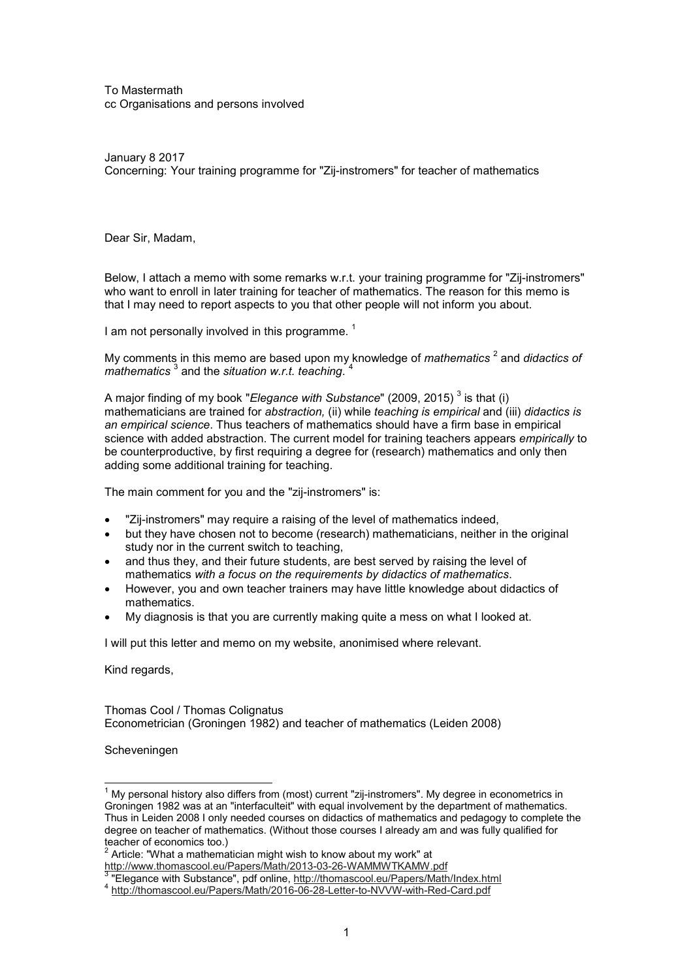To Mastermath cc Organisations and persons involved

January 8 2017 Concerning: Your training programme for "Zij-instromers" for teacher of mathematics

Dear Sir, Madam,

Below, I attach a memo with some remarks w.r.t. your training programme for "Zij-instromers" who want to enroll in later training for teacher of mathematics. The reason for this memo is that I may need to report aspects to you that other people will not inform you about.

I am not personally involved in this programme.<sup>1</sup>

My comments in this memo are based upon my knowledge of *mathematics* <sup>2</sup> and *didactics of* mathematics <sup>3</sup> and the situation w.r.t. teaching. <sup>4</sup>

A major finding of my book "*Elegance with Substance*" (2009, 2015)  $^3$  is that (i) mathematicians are trained for *abstraction,* (ii) while *teaching is empirical* and (iii) *didactics is an empirical science*. Thus teachers of mathematics should have a firm base in empirical science with added abstraction. The current model for training teachers appears *empirically* to be counterproductive, by first requiring a degree for (research) mathematics and only then adding some additional training for teaching.

The main comment for you and the "zij-instromers" is:

- "Zij-instromers" may require a raising of the level of mathematics indeed,
- but they have chosen not to become (research) mathematicians, neither in the original study nor in the current switch to teaching,
- and thus they, and their future students, are best served by raising the level of mathematics *with a focus on the requirements by didactics of mathematics*.
- However, you and own teacher trainers may have little knowledge about didactics of mathematics.
- My diagnosis is that you are currently making quite a mess on what I looked at.

I will put this letter and memo on my website, anonimised where relevant.

Kind regards,

Thomas Cool / Thomas Colignatus Econometrician (Groningen 1982) and teacher of mathematics (Leiden 2008)

Scheveningen

 $\overline{\phantom{a}}$ 

 $^{\rm 1}$  My personal history also differs from (most) current "zij-instromers". My degree in econometrics in Groningen 1982 was at an "interfaculteit" with equal involvement by the department of mathematics. Thus in Leiden 2008 I only needed courses on didactics of mathematics and pedagogy to complete the degree on teacher of mathematics. (Without those courses I already am and was fully qualified for teacher of economics too.)<br><sup>2</sup> Article: "What a mathematician might wish to know about my work" at

http://www.thomascool.eu/Papers/Math/2013-03-26-WAMMWTKAMW.pdf 3

 <sup>&</sup>quot;Elegance with Substance", pdf online, http://thomascool.eu/Papers/Math/Index.html

<sup>4</sup> http://thomascool.eu/Papers/Math/2016-06-28-Letter-to-NVVW-with-Red-Card.pdf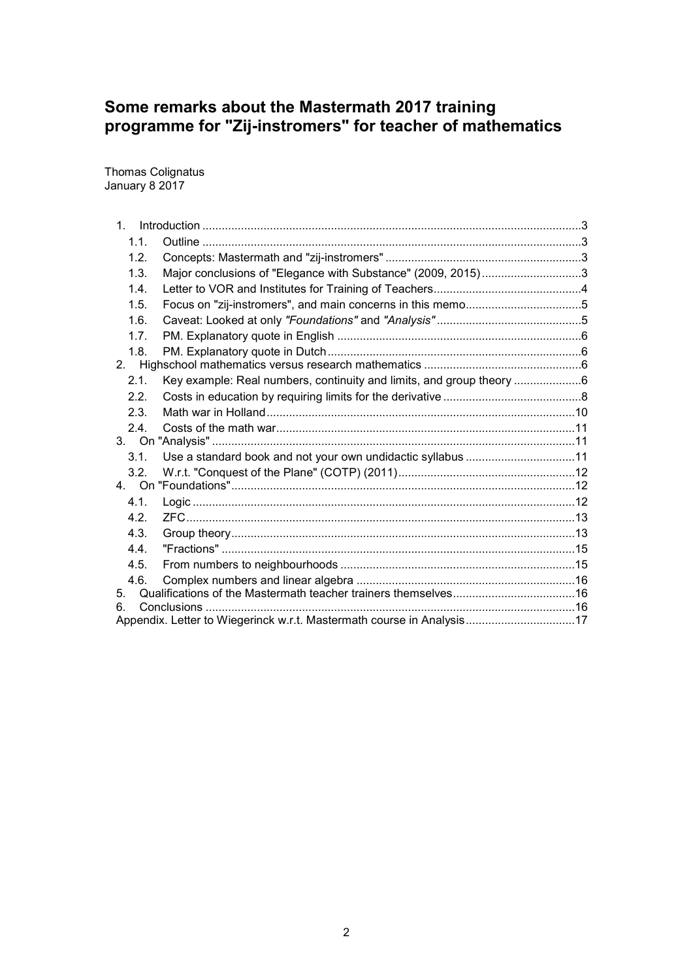# **Some remarks about the Mastermath 2017 training programme for "Zij-instromers" for teacher of mathematics**

Thomas Colignatus January 8 2017

| 1.1.             |                                                                       |  |
|------------------|-----------------------------------------------------------------------|--|
| 1.2.             |                                                                       |  |
| 1.3.             | Major conclusions of "Elegance with Substance" (2009, 2015)3          |  |
| 1.4.             |                                                                       |  |
| 1.5.             |                                                                       |  |
| 1.6.             |                                                                       |  |
| 1.7.             |                                                                       |  |
| 1.8.             |                                                                       |  |
| 2.               |                                                                       |  |
| 2.1.             | Key example: Real numbers, continuity and limits, and group theory 6  |  |
| 2.2 <sub>1</sub> |                                                                       |  |
| 2.3.             |                                                                       |  |
| 2.4.             |                                                                       |  |
|                  |                                                                       |  |
| 3.1.             | Use a standard book and not your own undidactic syllabus 11           |  |
| 3.2.             |                                                                       |  |
|                  |                                                                       |  |
| 4.1.             |                                                                       |  |
| 4.2 <sub>1</sub> |                                                                       |  |
| 4.3.             |                                                                       |  |
| 4.4              |                                                                       |  |
| 4.5.             |                                                                       |  |
| 4.6.             |                                                                       |  |
| 5.<br>6.         |                                                                       |  |
|                  | Appendix. Letter to Wiegerinck w.r.t. Mastermath course in Analysis17 |  |
|                  |                                                                       |  |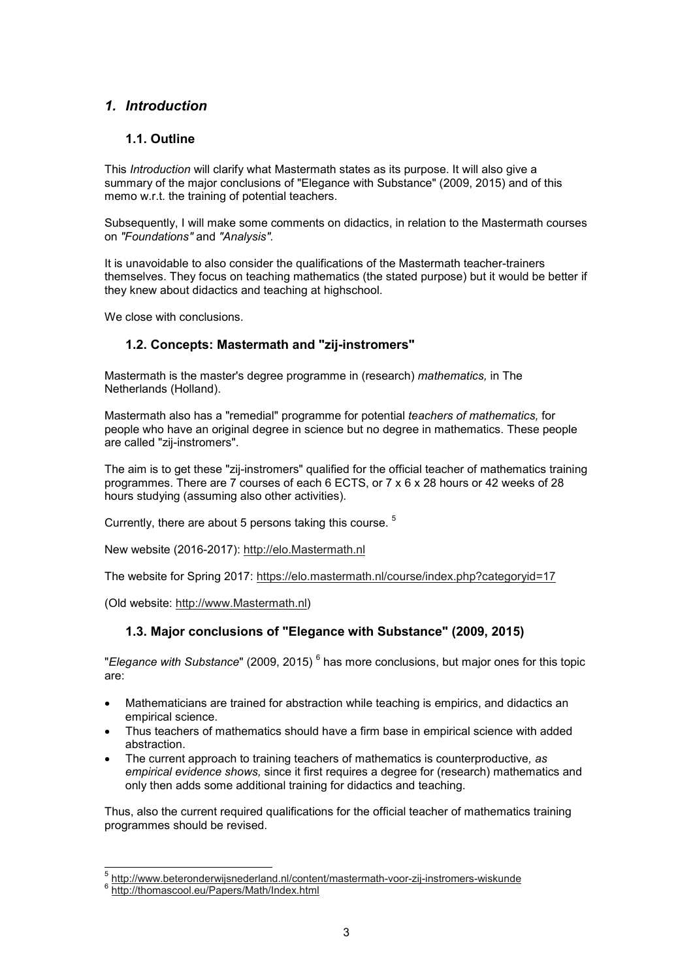# *1. Introduction*

# **1.1. Outline**

This *Introduction* will clarify what Mastermath states as its purpose. It will also give a summary of the major conclusions of "Elegance with Substance" (2009, 2015) and of this memo w.r.t. the training of potential teachers.

Subsequently, I will make some comments on didactics, in relation to the Mastermath courses on *"Foundations"* and *"Analysis".*

It is unavoidable to also consider the qualifications of the Mastermath teacher-trainers themselves. They focus on teaching mathematics (the stated purpose) but it would be better if they knew about didactics and teaching at highschool.

We close with conclusions.

# **1.2. Concepts: Mastermath and "zij-instromers"**

Mastermath is the master's degree programme in (research) *mathematics,* in The Netherlands (Holland).

Mastermath also has a "remedial" programme for potential *teachers of mathematics,* for people who have an original degree in science but no degree in mathematics. These people are called "zij-instromers".

The aim is to get these "zij-instromers" qualified for the official teacher of mathematics training programmes. There are 7 courses of each 6 ECTS, or 7 x 6 x 28 hours or 42 weeks of 28 hours studying (assuming also other activities).

Currently, there are about 5 persons taking this course. <sup>5</sup>

New website (2016-2017): http://elo.Mastermath.nl

The website for Spring 2017: https://elo.mastermath.nl/course/index.php?categoryid=17

(Old website: http://www.Mastermath.nl)

### **1.3. Major conclusions of "Elegance with Substance" (2009, 2015)**

"*Elegance with Substance*" (2009, 2015)  $^6$  has more conclusions, but major ones for this topic are:

- Mathematicians are trained for abstraction while teaching is empirics, and didactics an empirical science.
- Thus teachers of mathematics should have a firm base in empirical science with added abstraction.
- The current approach to training teachers of mathematics is counterproductive*, as empirical evidence shows,* since it first requires a degree for (research) mathematics and only then adds some additional training for didactics and teaching.

Thus, also the current required qualifications for the official teacher of mathematics training programmes should be revised.

 5 http://www.beteronderwijsnederland.nl/content/mastermath-voor-zij-instromers-wiskunde

<sup>&</sup>lt;sup>6</sup> http://thomascool.eu/Papers/Math/Index.html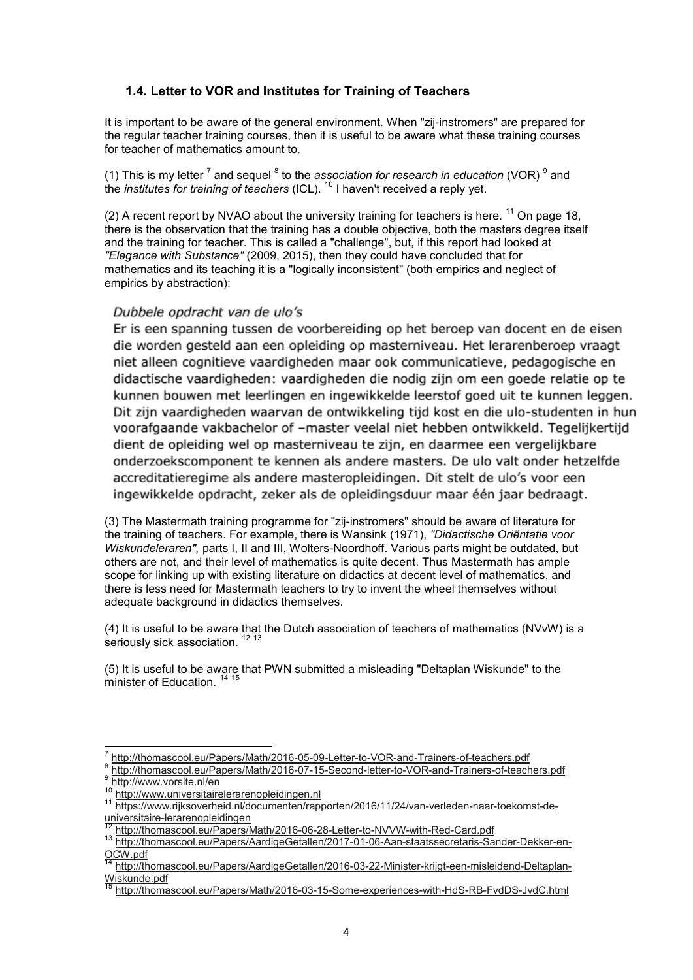#### **1.4. Letter to VOR and Institutes for Training of Teachers**

It is important to be aware of the general environment. When "zij-instromers" are prepared for the regular teacher training courses, then it is useful to be aware what these training courses for teacher of mathematics amount to.

(1) This is my letter <sup>7</sup> and sequel <sup>8</sup> to the *association for research in education* (VOR) <sup>9</sup> and the *institutes for training of teachers* (ICL). <sup>10</sup> I haven't received a reply yet.

(2) A recent report by NVAO about the university training for teachers is here.  $11$  On page 18, there is the observation that the training has a double objective, both the masters degree itself and the training for teacher. This is called a "challenge", but, if this report had looked at *"Elegance with Substance"* (2009, 2015), then they could have concluded that for mathematics and its teaching it is a "logically inconsistent" (both empirics and neglect of empirics by abstraction):

#### Dubbele opdracht van de ulo's

Er is een spanning tussen de voorbereiding op het beroep van docent en de eisen die worden gesteld aan een opleiding op masterniveau. Het lerarenberoep vraagt niet alleen cognitieve vaardigheden maar ook communicatieve, pedagogische en didactische vaardigheden: vaardigheden die nodig zijn om een goede relatie op te kunnen bouwen met leerlingen en ingewikkelde leerstof goed uit te kunnen leggen. Dit zijn vaardigheden waarvan de ontwikkeling tijd kost en die ulo-studenten in hun voorafgaande vakbachelor of -master veelal niet hebben ontwikkeld. Tegelijkertijd dient de opleiding wel op masterniveau te zijn, en daarmee een vergelijkbare onderzoekscomponent te kennen als andere masters. De ulo valt onder hetzelfde accreditatieregime als andere masteropleidingen. Dit stelt de ulo's voor een ingewikkelde opdracht, zeker als de opleidingsduur maar één jaar bedraagt.

(3) The Mastermath training programme for "zij-instromers" should be aware of literature for the training of teachers. For example, there is Wansink (1971), *"Didactische Oriëntatie voor Wiskundeleraren",* parts I, II and III, Wolters-Noordhoff. Various parts might be outdated, but others are not, and their level of mathematics is quite decent. Thus Mastermath has ample scope for linking up with existing literature on didactics at decent level of mathematics, and there is less need for Mastermath teachers to try to invent the wheel themselves without adequate background in didactics themselves.

(4) It is useful to be aware that the Dutch association of teachers of mathematics (NVvW) is a seriously sick association.<sup>12 13</sup>

(5) It is useful to be aware that PWN submitted a misleading "Deltaplan Wiskunde" to the minister of Education. <sup>14</sup> <sup>15</sup>

http://www.universitairelerarenopleidingen.nl

 $\overline{a}$ 

<sup>7</sup> http://thomascool.eu/Papers/Math/2016-05-09-Letter-to-VOR-and-Trainers-of-teachers.pdf

<sup>8</sup> http://thomascool.eu/Papers/Math/2016-07-15-Second-letter-to-VOR-and-Trainers-of-teachers.pdf 9  $\frac{9 \text{ http://www.vorsite.nl/en}}{10 \text{ http://www.vorsite.nl/cen}}$ 

<sup>11</sup> https://www.rijksoverheid.nl/documenten/rapporten/2016/11/24/van-verleden-naar-toekomst-deuniversitaire-lerarenopleidingen

http://thomascool.eu/Papers/Math/2016-06-28-Letter-to-NVVW-with-Red-Card.pdf

<sup>13</sup> http://thomascool.eu/Papers/AardigeGetallen/2017-01-06-Aan-staatssecretaris-Sander-Dekker-en-OCW.pdf

<sup>14</sup> http://thomascool.eu/Papers/AardigeGetallen/2016-03-22-Minister-krijgt-een-misleidend-Deltaplan-Wiskunde.pdf

<sup>15</sup> http://thomascool.eu/Papers/Math/2016-03-15-Some-experiences-with-HdS-RB-FvdDS-JvdC.html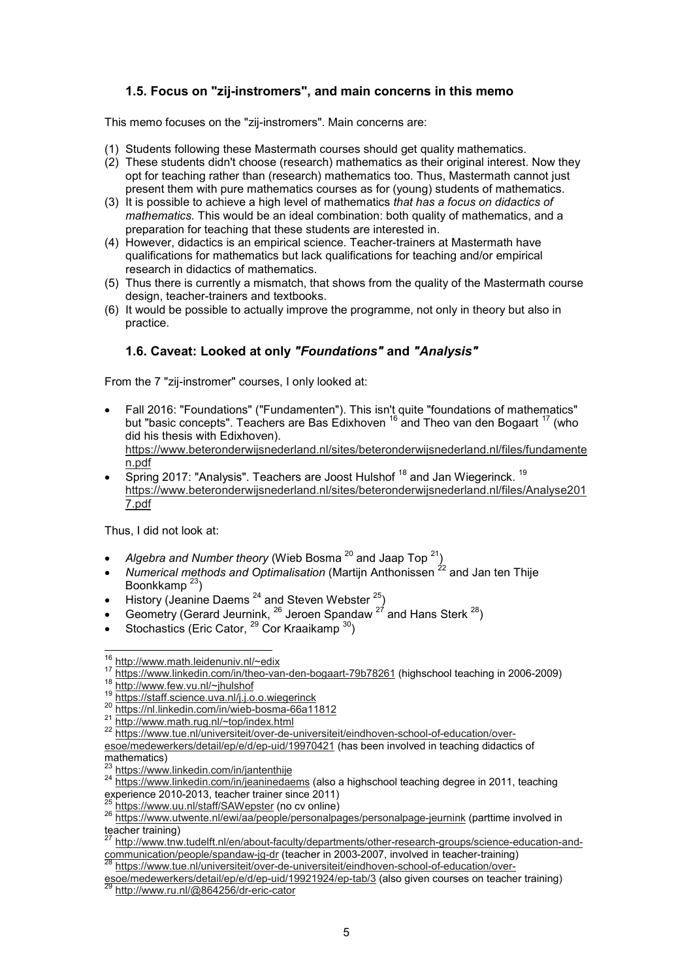# **1.5. Focus on "zij-instromers", and main concerns in this memo**

This memo focuses on the "zij-instromers". Main concerns are:

- (1) Students following these Mastermath courses should get quality mathematics.
- (2) These students didn't choose (research) mathematics as their original interest. Now they opt for teaching rather than (research) mathematics too. Thus, Mastermath cannot just present them with pure mathematics courses as for (young) students of mathematics.
- (3) It is possible to achieve a high level of mathematics *that has a focus on didactics of mathematics.* This would be an ideal combination: both quality of mathematics, and a preparation for teaching that these students are interested in.
- (4) However, didactics is an empirical science. Teacher-trainers at Mastermath have qualifications for mathematics but lack qualifications for teaching and/or empirical research in didactics of mathematics.
- (5) Thus there is currently a mismatch, that shows from the quality of the Mastermath course design, teacher-trainers and textbooks.
- (6) It would be possible to actually improve the programme, not only in theory but also in practice.

# **1.6. Caveat: Looked at only** *"Foundations"* **and** *"Analysis"*

From the 7 "zij-instromer" courses, I only looked at:

- Fall 2016: "Foundations" ("Fundamenten"). This isn't quite "foundations of mathematics" but "basic concepts". Teachers are Bas Edixhoven <sup>16</sup> and Theo van den Bogaart <sup>17</sup> (who did his thesis with Edixhoven). https://www.beteronderwijsnederland.nl/sites/beteronderwijsnederland.nl/files/fundamente n.pdf
- Spring 2017: "Analysis". Teachers are Joost Hulshof <sup>18</sup> and Jan Wiegerinck. <sup>19</sup> https://www.beteronderwijsnederland.nl/sites/beteronderwijsnederland.nl/files/Analyse201 7.pdf

Thus, I did not look at:

 $\overline{\phantom{a}}$ 

- *Algebra and Number theory* (Wieb Bosma<sup>20</sup> and Jaap Top<sup>21</sup>)
- *Numerical methods and Optimalisation* (Martijn Anthonissen <sup>22</sup> and Jan ten Thiie Boonkkamp $^{23}$ )
- History (Jeanine Daems  $^{24}$  and Steven Webster  $^{25}$ )
- Geometry (Gerard Jeurnink,  $^{26}$  Jeroen Spandaw  $^{27}$  and Hans Sterk  $^{28}$ )
- Stochastics (Eric Cator,  $^{29}$  Cor Kraaikamp  $^{30}$ )

<sup>16</sup> http://www.math.leidenuniv.nl/~edix

<sup>17</sup> https://www.linkedin.com/in/theo-van-den-bogaart-79b78261 (highschool teaching in 2006-2009)

<sup>18</sup> http://www.few.vu.nl/~jhulshof

 $\frac{10 \text{ Hz} \cdot \text{m} \cdot \text{m} \cdot \text{m} \cdot \text{m} \cdot \text{m} \cdot \text{m} \cdot \text{m}}{10 \text{ Hz} \cdot \text{m} \cdot \text{m} \cdot \text{m} \cdot \text{m} \cdot \text{m} \cdot \text{m} \cdot \text{m} \cdot \text{m} \cdot \text{m} \cdot \text{m} \cdot \text{m} \cdot \text{m} \cdot \text{m} \cdot \text{m} \cdot \text{m} \cdot \text{m} \cdot \text{m} \cdot \text{m} \cdot \text{m} \cdot \text{m} \cdot \text{m} \cdot \text{m$ 

https://nl.linkedin.com/in/wieb-bosma-66a11812

<sup>21</sup> http://www.math.rug.nl/~top/index.html

<sup>22</sup> https://www.tue.nl/universiteit/over-de-universiteit/eindhoven-school-of-education/overesoe/medewerkers/detail/ep/e/d/ep-uid/19970421 (has been involved in teaching didactics of  $\frac{1}{\text{mathematics}}$ 

https://www.linkedin.com/in/jantenthije

<sup>24</sup> https://www.illincollit.com/in/jeaninedaems (also a highschool teaching degree in 2011, teaching experience 2010-2013, teacher trainer since 2011)

https://www.uu.nl/staff/SAWepster (no cv online)

<sup>26</sup> https://www.utwente.nl/ewi/aa/people/personalpages/personalpage-jeurnink (parttime involved in teacher training)

<sup>27</sup> http://www.tnw.tudelft.nl/en/about-faculty/departments/other-research-groups/science-education-andcommunication/people/spandaw-jg-dr (teacher in 2003-2007, involved in teacher-training)

<sup>28</sup> https://www.tue.nl/universiteit/over-de-universiteit/eindhoven-school-of-education/over-

esoe/medewerkers/detail/ep/e/d/ep-uid/19921924/ep-tab/3 (also given courses on teacher training) http://www.ru.nl/@864256/dr-eric-cator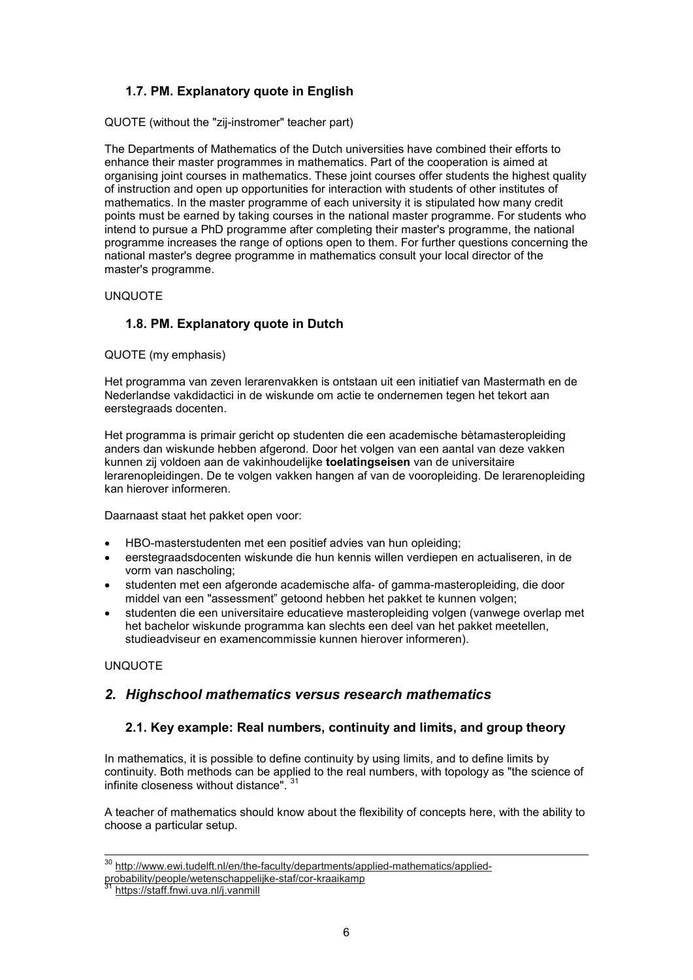# **1.7. PM. Explanatory quote in English**

QUOTE (without the "zij-instromer" teacher part)

The Departments of Mathematics of the Dutch universities have combined their efforts to enhance their master programmes in mathematics. Part of the cooperation is aimed at organising joint courses in mathematics. These joint courses offer students the highest quality of instruction and open up opportunities for interaction with students of other institutes of mathematics. In the master programme of each university it is stipulated how many credit points must be earned by taking courses in the national master programme. For students who intend to pursue a PhD programme after completing their master's programme, the national programme increases the range of options open to them. For further questions concerning the national master's degree programme in mathematics consult your local director of the master's programme.

UNQUOTE

# **1.8. PM. Explanatory quote in Dutch**

QUOTE (my emphasis)

Het programma van zeven lerarenvakken is ontstaan uit een initiatief van Mastermath en de Nederlandse vakdidactici in de wiskunde om actie te ondernemen tegen het tekort aan eerstegraads docenten.

Het programma is primair gericht op studenten die een academische bètamasteropleiding anders dan wiskunde hebben afgerond. Door het volgen van een aantal van deze vakken kunnen zij voldoen aan de vakinhoudelijke **toelatingseisen** van de universitaire lerarenopleidingen. De te volgen vakken hangen af van de vooropleiding. De lerarenopleiding kan hierover informeren.

Daarnaast staat het pakket open voor:

- HBO-masterstudenten met een positief advies van hun opleiding;
- eerstegraadsdocenten wiskunde die hun kennis willen verdiepen en actualiseren, in de vorm van nascholing;
- studenten met een afgeronde academische alfa- of gamma-masteropleiding, die door middel van een "assessment" getoond hebben het pakket te kunnen volgen;
- studenten die een universitaire educatieve masteropleiding volgen (vanwege overlap met het bachelor wiskunde programma kan slechts een deel van het pakket meetellen, studieadviseur en examencommissie kunnen hierover informeren).

UNQUOTE

 $\overline{a}$ 

### *2. Highschool mathematics versus research mathematics*

### **2.1. Key example: Real numbers, continuity and limits, and group theory**

In mathematics, it is possible to define continuity by using limits, and to define limits by continuity. Both methods can be applied to the real numbers, with topology as "the science of infinite closeness without distance". <sup>31</sup>

A teacher of mathematics should know about the flexibility of concepts here, with the ability to choose a particular setup.

<sup>&</sup>lt;sup>30</sup> http://www.ewi.tudelft.nl/en/the-faculty/departments/applied-mathematics/applied-

probability/people/wetenschappelijke-staf/cor-kraaikamp

https://staff.fnwi.uva.nl/j.vanmill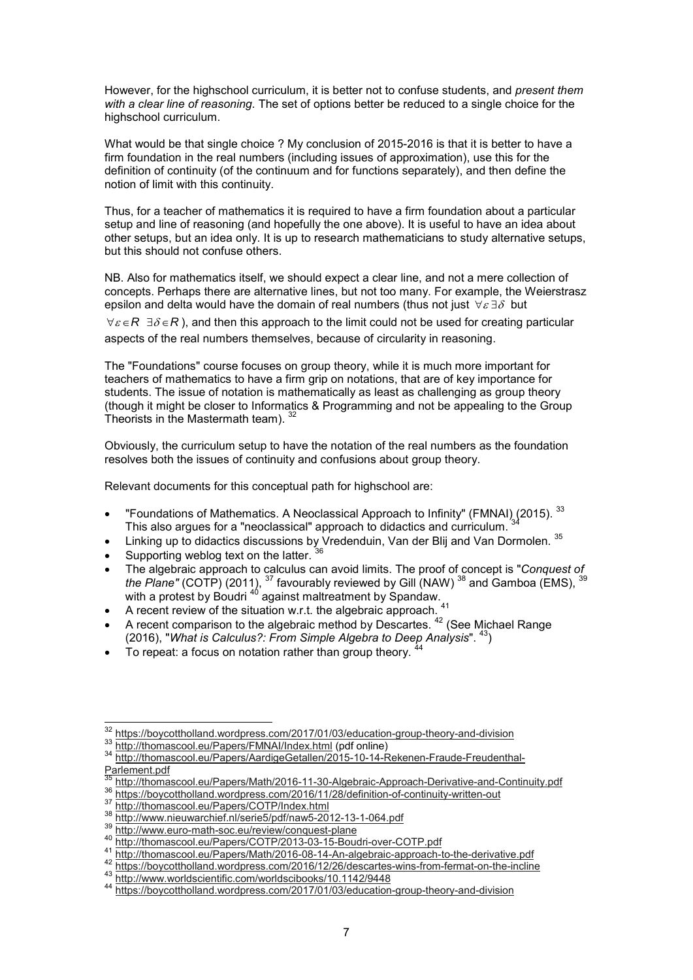However, for the highschool curriculum, it is better not to confuse students, and *present them with a clear line of reasoning*. The set of options better be reduced to a single choice for the highschool curriculum.

What would be that single choice ? My conclusion of 2015-2016 is that it is better to have a firm foundation in the real numbers (including issues of approximation), use this for the definition of continuity (of the continuum and for functions separately), and then define the notion of limit with this continuity.

Thus, for a teacher of mathematics it is required to have a firm foundation about a particular setup and line of reasoning (and hopefully the one above). It is useful to have an idea about other setups, but an idea only. It is up to research mathematicians to study alternative setups, but this should not confuse others.

NB. Also for mathematics itself, we should expect a clear line, and not a mere collection of concepts. Perhaps there are alternative lines, but not too many. For example, the Weierstrasz epsilon and delta would have the domain of real numbers (thus not just  $\forall \varepsilon \exists \delta$  but

 $\forall \varepsilon \in \mathsf{R}$   $\exists \delta \in \mathsf{R}$ ), and then this approach to the limit could not be used for creating particular aspects of the real numbers themselves, because of circularity in reasoning.

The "Foundations" course focuses on group theory, while it is much more important for teachers of mathematics to have a firm grip on notations, that are of key importance for students. The issue of notation is mathematically as least as challenging as group theory (though it might be closer to Informatics & Programming and not be appealing to the Group Theorists in the Mastermath team).

Obviously, the curriculum setup to have the notation of the real numbers as the foundation resolves both the issues of continuity and confusions about group theory.

Relevant documents for this conceptual path for highschool are:

- "Foundations of Mathematics. A Neoclassical Approach to Infinity" (FMNAI) (2015). <sup>33</sup> This also argues for a "neoclassical" approach to didactics and curriculum.
- Linking up to didactics discussions by Vredenduin, Van der Blij and Van Dormolen. 35
- Supporting weblog text on the latter. <sup>36</sup>
- The algebraic approach to calculus can avoid limits. The proof of concept is "*Conquest of the Plane"* (COTP) (2011),  $^{37}$  favourably reviewed by Gill (NAW)  $^{38}$  and Gamboa (EMS),  $^{39}$ with a protest by Boudri <sup>40</sup> against maltreatment by Spandaw.
- A recent review of the situation w.r.t. the algebraic approach. <sup>41</sup>
- A recent comparison to the algebraic method by Descartes.<sup>42</sup> (See Michael Range (2016), "*What is Calculus?: From Simple Algebra to Deep Analysis*". <sup>43</sup>)
- To repeat: a focus on notation rather than group theory. <sup>44</sup>

 $\overline{a}$ 

<sup>&</sup>lt;sup>32</sup> https://boycottholland.wordpress.com/2017/01/03/education-group-theory-and-division

<sup>33</sup> http://thomascool.eu/Papers/FMNAI/Index.html (pdf online)

<sup>34</sup> http://thomascool.eu/Papers/AardigeGetallen/2015-10-14-Rekenen-Fraude-Freudenthal-Parlement.pdf

<sup>35</sup> http://thomascool.eu/Papers/Math/2016-11-30-Algebraic-Approach-Derivative-and-Continuity.pdf

<sup>&</sup>lt;sup>36</sup> https://boycottholland.wordpress.com/2016/11/28/definition-of-continuity-written-out

http://thomascool.eu/Papers/COTP/Index.html

<sup>38</sup> http://www.nieuwarchief.nl/serie5/pdf/naw5-2012-13-1-064.pdf

http://www.euro-math-soc.eu/review/conquest-plane

<sup>40</sup> http://thomascool.eu/Papers/COTP/2013-03-15-Boudri-over-COTP.pdf

<sup>41</sup> http://thomascool.eu/Papers/Math/2016-08-14-An-algebraic-approach-to-the-derivative.pdf

<sup>42</sup> https://boycottholland.wordpress.com/2016/12/26/descartes-wins-from-fermat-on-the-incline

<sup>43</sup> http://www.worldscientific.com/worldscibooks/10.1142/9448

<sup>44</sup> https://boycottholland.wordpress.com/2017/01/03/education-group-theory-and-division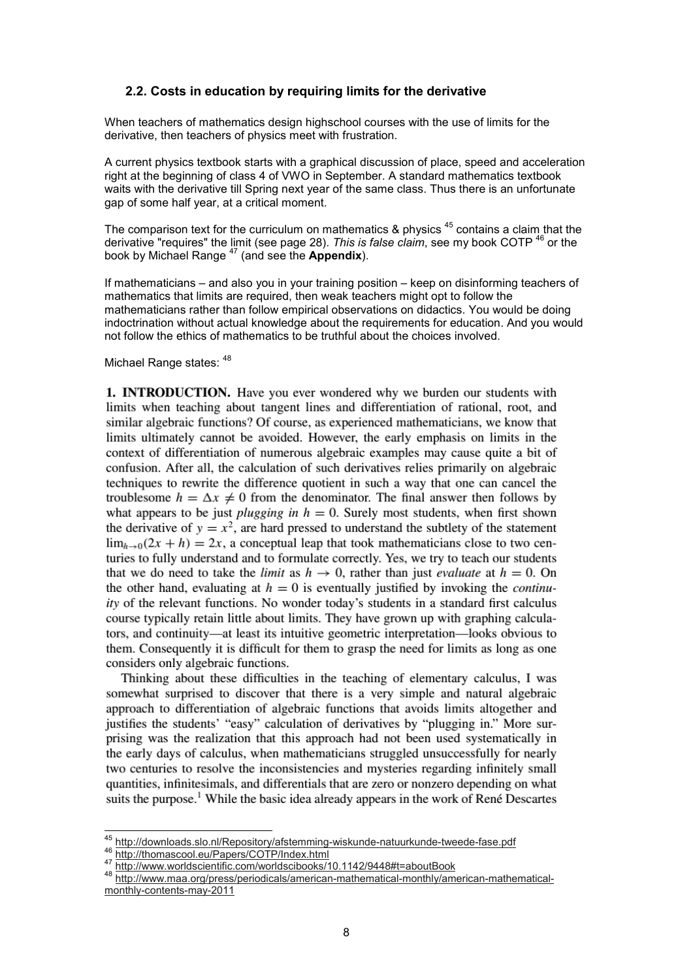#### **2.2. Costs in education by requiring limits for the derivative**

When teachers of mathematics design highschool courses with the use of limits for the derivative, then teachers of physics meet with frustration.

A current physics textbook starts with a graphical discussion of place, speed and acceleration right at the beginning of class 4 of VWO in September. A standard mathematics textbook waits with the derivative till Spring next year of the same class. Thus there is an unfortunate gap of some half year, at a critical moment.

The comparison text for the curriculum on mathematics  $\&$  physics  $^{45}$  contains a claim that the derivative "requires" the limit (see page 28). *This is false claim*, see my book COTP <sup>46</sup> or the book by Michael Range <sup>47</sup> (and see the **Appendix**).

If mathematicians – and also you in your training position – keep on disinforming teachers of mathematics that limits are required, then weak teachers might opt to follow the mathematicians rather than follow empirical observations on didactics. You would be doing indoctrination without actual knowledge about the requirements for education. And you would not follow the ethics of mathematics to be truthful about the choices involved.

#### Michael Range states:  $48$

 $\overline{a}$ 

**1. INTRODUCTION.** Have you ever wondered why we burden our students with limits when teaching about tangent lines and differentiation of rational, root, and similar algebraic functions? Of course, as experienced mathematicians, we know that limits ultimately cannot be avoided. However, the early emphasis on limits in the context of differentiation of numerous algebraic examples may cause quite a bit of confusion. After all, the calculation of such derivatives relies primarily on algebraic techniques to rewrite the difference quotient in such a way that one can cancel the troublesome  $h = \Delta x \neq 0$  from the denominator. The final answer then follows by what appears to be just *plugging in*  $h = 0$ . Surely most students, when first shown the derivative of  $y = x^2$ , are hard pressed to understand the subtlety of the statement  $\lim_{h\to 0} (2x + h) = 2x$ , a conceptual leap that took mathematicians close to two centuries to fully understand and to formulate correctly. Yes, we try to teach our students that we do need to take the *limit* as  $h \to 0$ , rather than just *evaluate* at  $h = 0$ . On the other hand, evaluating at  $h = 0$  is eventually justified by invoking the *continuity* of the relevant functions. No wonder today's students in a standard first calculus course typically retain little about limits. They have grown up with graphing calculators, and continuity—at least its intuitive geometric interpretation—looks obvious to them. Consequently it is difficult for them to grasp the need for limits as long as one considers only algebraic functions.

Thinking about these difficulties in the teaching of elementary calculus, I was somewhat surprised to discover that there is a very simple and natural algebraic approach to differentiation of algebraic functions that avoids limits altogether and justifies the students' "easy" calculation of derivatives by "plugging in." More surprising was the realization that this approach had not been used systematically in the early days of calculus, when mathematicians struggled unsuccessfully for nearly two centuries to resolve the inconsistencies and mysteries regarding infinitely small quantities, infinitesimals, and differentials that are zero or nonzero depending on what suits the purpose.<sup>1</sup> While the basic idea already appears in the work of René Descartes

<sup>&</sup>lt;sup>45</sup> http://downloads.slo.nl/Repository/afstemming-wiskunde-natuurkunde-tweede-fase.pdf 46 http://thomascool.eu/Papers/COTP/Index.html

<sup>47</sup> http://www.worldscientific.com/worldscibooks/10.1142/9448#t=aboutBook

<sup>48</sup> http://www.maa.org/press/periodicals/american-mathematical-monthly/american-mathematicalmonthly-contents-may-2011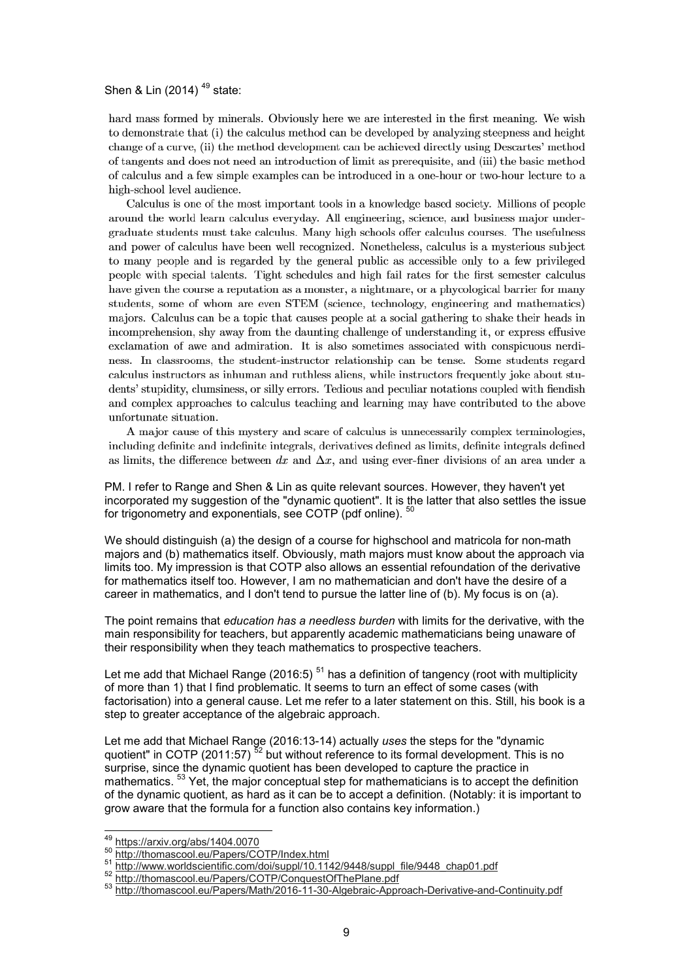#### Shen & Lin  $(2014)$ <sup>49</sup> state:

hard mass formed by minerals. Obviously here we are interested in the first meaning. We wish to demonstrate that (i) the calculus method can be developed by analyzing steepness and height change of a curve, (ii) the method development can be achieved directly using Descartes' method of tangents and does not need an introduction of limit as prerequisite, and (iii) the basic method of calculus and a few simple examples can be introduced in a one-hour or two-hour lecture to a high-school level audience.

Calculus is one of the most important tools in a knowledge based society. Millions of people around the world learn calculus everyday. All engineering, science, and business major undergraduate students must take calculus. Many high schools offer calculus courses. The usefulness and power of calculus have been well recognized. Nonetheless, calculus is a mysterious subject to many people and is regarded by the general public as accessible only to a few privileged people with special talents. Tight schedules and high fail rates for the first semester calculus have given the course a reputation as a monster, a nightmare, or a phycological barrier for many students, some of whom are even STEM (science, technology, engineering and mathematics) majors. Calculus can be a topic that causes people at a social gathering to shake their heads in incomprehension, shy away from the daunting challenge of understanding it, or express effusive exclamation of a we and admiration. It is also sometimes associated with conspicuous nerdiness. In classrooms, the student-instructor relationship can be tense. Some students regard calculus instructors as inhuman and ruthless aliens, while instructors frequently joke about students' stupidity, clumsiness, or silly errors. Tedious and peculiar notations coupled with fiendish and complex approaches to calculus teaching and learning may have contributed to the above unfortunate situation.

A major cause of this mystery and scare of calculus is unnecessarily complex terminologies, including definite and indefinite integrals, derivatives defined as limits, definite integrals defined as limits, the difference between dx and  $\Delta x$ , and using ever-finer divisions of an area under a

PM. I refer to Range and Shen & Lin as quite relevant sources. However, they haven't yet incorporated my suggestion of the "dynamic quotient". It is the latter that also settles the issue for trigonometry and exponentials, see COTP (pdf online). <sup>50</sup>

We should distinguish (a) the design of a course for highschool and matricola for non-math majors and (b) mathematics itself. Obviously, math majors must know about the approach via limits too. My impression is that COTP also allows an essential refoundation of the derivative for mathematics itself too. However, I am no mathematician and don't have the desire of a career in mathematics, and I don't tend to pursue the latter line of (b). My focus is on (a).

The point remains that *education has a needless burden* with limits for the derivative, with the main responsibility for teachers, but apparently academic mathematicians being unaware of their responsibility when they teach mathematics to prospective teachers.

Let me add that Michael Range (2016:5)<sup>51</sup> has a definition of tangency (root with multiplicity of more than 1) that I find problematic. It seems to turn an effect of some cases (with factorisation) into a general cause. Let me refer to a later statement on this. Still, his book is a step to greater acceptance of the algebraic approach.

Let me add that Michael Range (2016:13-14) actually *uses* the steps for the "dynamic quotient" in COTP (2011:57)<sup>52</sup> but without reference to its formal development. This is no surprise, since the dynamic quotient has been developed to capture the practice in mathematics. <sup>53</sup> Yet, the major conceptual step for mathematicians is to accept the definition of the dynamic quotient, as hard as it can be to accept a definition. (Notably: it is important to grow aware that the formula for a function also contains key information.)

 $\overline{a}$ 

<sup>49</sup> https://arxiv.org/abs/1404.0070

<sup>50</sup> http://thomascool.eu/Papers/COTP/Index.html

<sup>51</sup> http://www.worldscientific.com/doi/suppl/10.1142/9448/suppl\_file/9448\_chap01.pdf

<sup>52</sup> http://thomascool.eu/Papers/COTP/ConquestOfThePlane.pdf

<sup>53</sup> http://thomascool.eu/Papers/Math/2016-11-30-Algebraic-Approach-Derivative-and-Continuity.pdf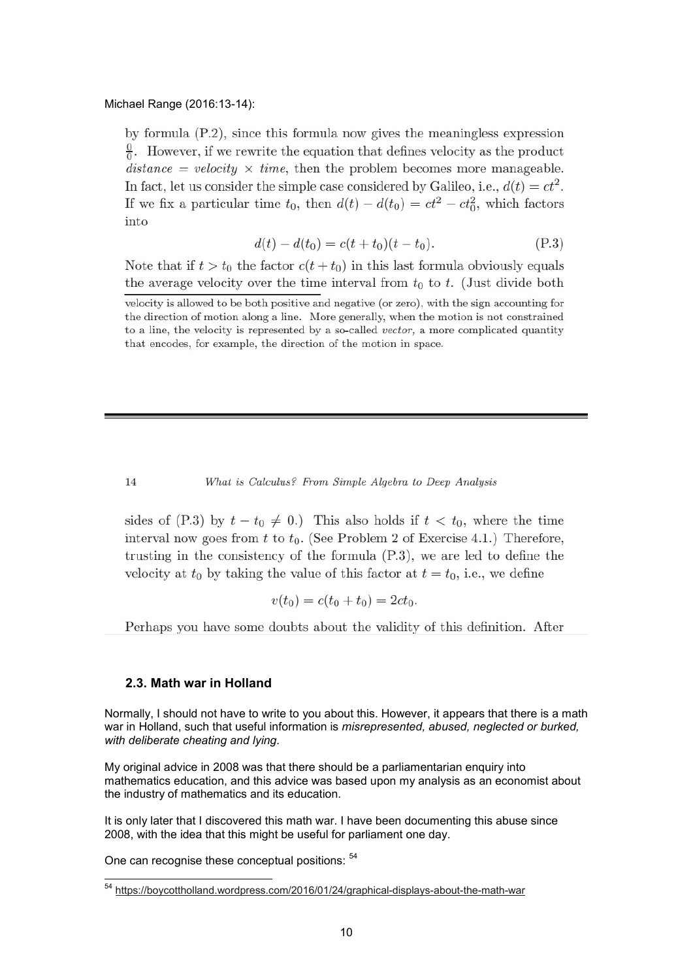#### Michael Range (2016:13-14):

by formula  $(P.2)$ , since this formula now gives the meaningless expression  $\frac{0}{0}$ . However, if we rewrite the equation that defines velocity as the product  $distance = velocity \times time$ , then the problem becomes more manageable. In fact, let us consider the simple case considered by Galileo, i.e.,  $d(t) = ct^2$ . If we fix a particular time  $t_0$ , then  $d(t) - d(t_0) = ct^2 - ct_0^2$ , which factors into

$$
d(t) - d(t_0) = c(t + t_0)(t - t_0).
$$
 (P.3)

Note that if  $t > t_0$  the factor  $c(t + t_0)$  in this last formula obviously equals the average velocity over the time interval from  $t_0$  to  $t$ . (Just divide both

What is Calculus? From Simple Algebra to Deep Analysis

sides of (P.3) by  $t - t_0 \neq 0$ .) This also holds if  $t < t_0$ , where the time interval now goes from t to  $t_0$ . (See Problem 2 of Exercise 4.1.) Therefore, trusting in the consistency of the formula  $(P.3)$ , we are led to define the velocity at  $t_0$  by taking the value of this factor at  $t = t_0$ , i.e., we define

$$
v(t_0) = c(t_0 + t_0) = 2ct_0.
$$

Perhaps you have some doubts about the validity of this definition. After

#### **2.3. Math war in Holland**

Normally, I should not have to write to you about this. However, it appears that there is a math war in Holland, such that useful information is *misrepresented, abused, neglected or burked, with deliberate cheating and lying.*

My original advice in 2008 was that there should be a parliamentarian enquiry into mathematics education, and this advice was based upon my analysis as an economist about the industry of mathematics and its education.

It is only later that I discovered this math war. I have been documenting this abuse since 2008, with the idea that this might be useful for parliament one day.

One can recognise these conceptual positions: <sup>54</sup>

 $\overline{a}$ 

14

velocity is allowed to be both positive and negative (or zero), with the sign accounting for the direction of motion along a line. More generally, when the motion is not constrained to a line, the velocity is represented by a so-called vector, a more complicated quantity that encodes, for example, the direction of the motion in space.

<sup>&</sup>lt;sup>54</sup> https://boycottholland.wordpress.com/2016/01/24/graphical-displays-about-the-math-war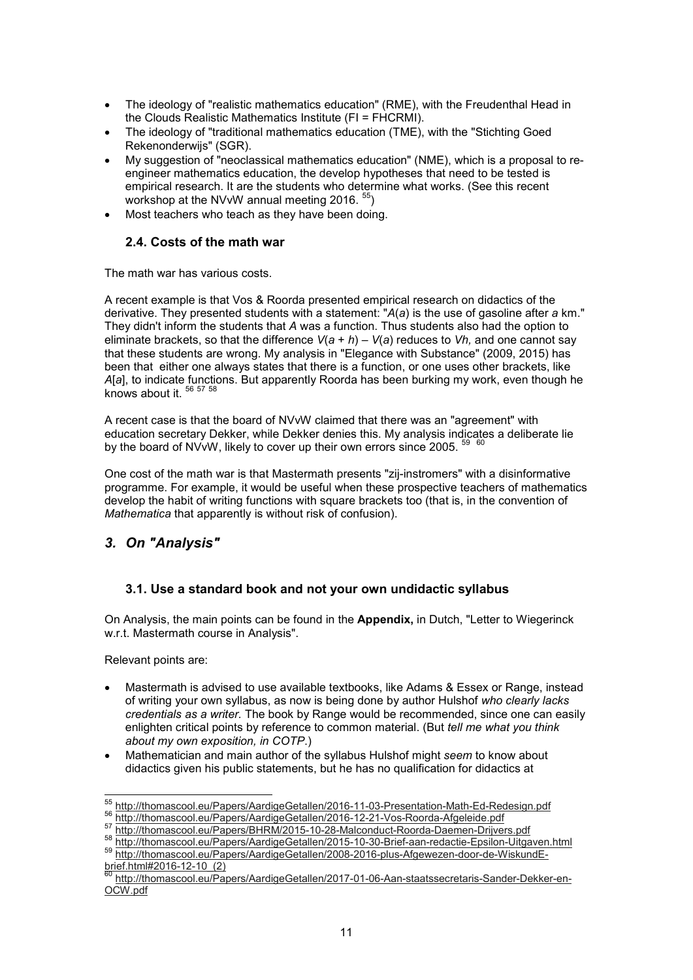- The ideology of "realistic mathematics education" (RME), with the Freudenthal Head in the Clouds Realistic Mathematics Institute (FI = FHCRMI).
- The ideology of "traditional mathematics education (TME), with the "Stichting Goed Rekenonderwijs" (SGR).
- My suggestion of "neoclassical mathematics education" (NME), which is a proposal to reengineer mathematics education, the develop hypotheses that need to be tested is empirical research. It are the students who determine what works. (See this recent workshop at the NVvW annual meeting 2016.  $55$ )
- Most teachers who teach as they have been doing.

#### **2.4. Costs of the math war**

The math war has various costs.

A recent example is that Vos & Roorda presented empirical research on didactics of the derivative. They presented students with a statement: "*A*(*a*) is the use of gasoline after *a* km." They didn't inform the students that *A* was a function. Thus students also had the option to eliminate brackets, so that the difference *V*(*a* + *h*) – *V*(*a*) reduces to *Vh,* and one cannot say that these students are wrong. My analysis in "Elegance with Substance" (2009, 2015) has been that either one always states that there is a function, or one uses other brackets, like *A*[*a*], to indicate functions. But apparently Roorda has been burking my work, even though he knows about it.  $56\frac{1112}{56\frac{1}{27}\cdot58}$ 

A recent case is that the board of NVvW claimed that there was an "agreement" with education secretary Dekker, while Dekker denies this. My analysis indicates a deliberate lie by the board of NVvW, likely to cover up their own errors since 2005. 60

One cost of the math war is that Mastermath presents "zij-instromers" with a disinformative programme. For example, it would be useful when these prospective teachers of mathematics develop the habit of writing functions with square brackets too (that is, in the convention of *Mathematica* that apparently is without risk of confusion).

# *3. On "Analysis"*

### **3.1. Use a standard book and not your own undidactic syllabus**

On Analysis, the main points can be found in the **Appendix,** in Dutch, "Letter to Wiegerinck w.r.t. Mastermath course in Analysis".

Relevant points are:

- Mastermath is advised to use available textbooks, like Adams & Essex or Range, instead of writing your own syllabus, as now is being done by author Hulshof *who clearly lacks credentials as a writer.* The book by Range would be recommended, since one can easily enlighten critical points by reference to common material. (But *tell me what you think about my own exposition, in COTP*.)
- Mathematician and main author of the syllabus Hulshof might *seem* to know about didactics given his public statements, but he has no qualification for didactics at

 $\overline{a}$ <sup>55</sup> http://thomascool.eu/Papers/AardigeGetallen/2016-11-03-Presentation-Math-Ed-Redesign.pdf

<sup>56</sup> http://thomascool.eu/Papers/AardigeGetallen/2016-12-21-Vos-Roorda-Afgeleide.pdf

http://thomascool.eu/Papers/BHRM/2015-10-28-Malconduct-Roorda-Daemen-Drijvers.pdf

<sup>58</sup> http://thomascool.eu/Papers/AardigeGetallen/2015-10-30-Brief-aan-redactie-Epsilon-Uitgaven.html <sup>59</sup> http://thomascool.eu/Papers/AardigeGetallen/2008-2016-plus-Afgewezen-door-de-WiskundE-

brief.html#2016-12-10\_(2)  $^{50}$  http://thomascool.eu/Papers/AardigeGetallen/2017-01-06-Aan-staatssecretaris-Sander-Dekker-en-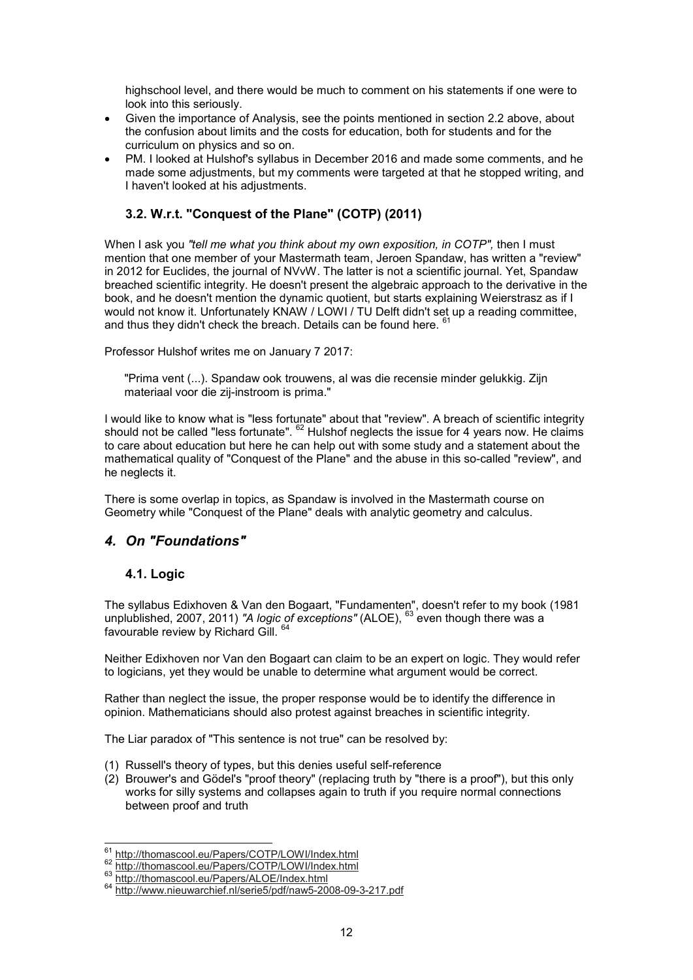highschool level, and there would be much to comment on his statements if one were to look into this seriously.

- Given the importance of Analysis, see the points mentioned in section 2.2 above, about the confusion about limits and the costs for education, both for students and for the curriculum on physics and so on.
- PM. I looked at Hulshof's syllabus in December 2016 and made some comments, and he made some adjustments, but my comments were targeted at that he stopped writing, and I haven't looked at his adjustments.

### **3.2. W.r.t. "Conquest of the Plane" (COTP) (2011)**

When I ask you "tell me what you think about my own exposition, in COTP", then I must mention that one member of your Mastermath team, Jeroen Spandaw, has written a "review" in 2012 for Euclides, the journal of NVvW. The latter is not a scientific journal. Yet, Spandaw breached scientific integrity. He doesn't present the algebraic approach to the derivative in the book, and he doesn't mention the dynamic quotient, but starts explaining Weierstrasz as if I would not know it. Unfortunately KNAW / LOWI / TU Delft didn't set up a reading committee, and thus they didn't check the breach. Details can be found here.  $6$ 

Professor Hulshof writes me on January 7 2017:

"Prima vent (...). Spandaw ook trouwens, al was die recensie minder gelukkig. Zijn materiaal voor die zij-instroom is prima."

I would like to know what is "less fortunate" about that "review". A breach of scientific integrity should not be called "less fortunate".  $62$  Hulshof neglects the issue for 4 years now. He claims to care about education but here he can help out with some study and a statement about the mathematical quality of "Conquest of the Plane" and the abuse in this so-called "review", and he neglects it.

There is some overlap in topics, as Spandaw is involved in the Mastermath course on Geometry while "Conquest of the Plane" deals with analytic geometry and calculus.

# *4. On "Foundations"*

### **4.1. Logic**

The syllabus Edixhoven & Van den Bogaart, "Fundamenten", doesn't refer to my book (1981 unplublished, 2007, 2011) *"A logic of exceptions"* (ALOE), <sup>63</sup> even though there was a favourable review by Richard Gill. 64

Neither Edixhoven nor Van den Bogaart can claim to be an expert on logic. They would refer to logicians, yet they would be unable to determine what argument would be correct.

Rather than neglect the issue, the proper response would be to identify the difference in opinion. Mathematicians should also protest against breaches in scientific integrity.

The Liar paradox of "This sentence is not true" can be resolved by:

- (1) Russell's theory of types, but this denies useful self-reference
- (2) Brouwer's and Gödel's "proof theory" (replacing truth by "there is a proof"), but this only works for silly systems and collapses again to truth if you require normal connections between proof and truth

 $\overline{a}$ <sup>61</sup> http://thomascool.eu/Papers/COTP/LOWI/Index.html

<sup>62</sup> http://thomascool.eu/Papers/COTP/LOWI/Index.html

<sup>63</sup> http://thomascool.eu/Papers/ALOE/Index.html

<sup>64</sup> http://www.nieuwarchief.nl/serie5/pdf/naw5-2008-09-3-217.pdf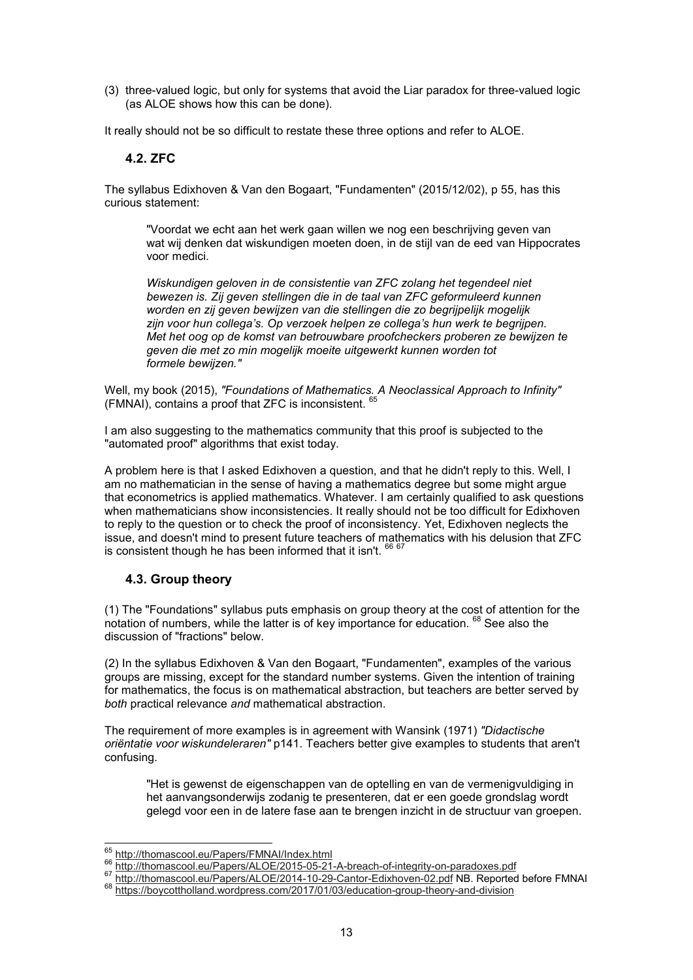(3) three-valued logic, but only for systems that avoid the Liar paradox for three-valued logic (as ALOE shows how this can be done).

It really should not be so difficult to restate these three options and refer to ALOE.

### **4.2. ZFC**

The syllabus Edixhoven & Van den Bogaart, "Fundamenten" (2015/12/02), p 55, has this curious statement:

"Voordat we echt aan het werk gaan willen we nog een beschrijving geven van wat wij denken dat wiskundigen moeten doen, in de stijl van de eed van Hippocrates voor medici.

*Wiskundigen geloven in de consistentie van ZFC zolang het tegendeel niet bewezen is. Zij geven stellingen die in de taal van ZFC geformuleerd kunnen worden en zij geven bewijzen van die stellingen die zo begrijpelijk mogelijk zijn voor hun collega's. Op verzoek helpen ze collega's hun werk te begrijpen. Met het oog op de komst van betrouwbare proofcheckers proberen ze bewijzen te geven die met zo min mogelijk moeite uitgewerkt kunnen worden tot formele bewijzen."*

Well, my book (2015), *"Foundations of Mathematics. A Neoclassical Approach to Infinity"* (FMNAI), contains a proof that ZFC is inconsistent. <sup>65</sup>

I am also suggesting to the mathematics community that this proof is subjected to the "automated proof" algorithms that exist today.

A problem here is that I asked Edixhoven a question, and that he didn't reply to this. Well, I am no mathematician in the sense of having a mathematics degree but some might argue that econometrics is applied mathematics. Whatever. I am certainly qualified to ask questions when mathematicians show inconsistencies. It really should not be too difficult for Edixhoven to reply to the question or to check the proof of inconsistency. Yet, Edixhoven neglects the issue, and doesn't mind to present future teachers of mathematics with his delusion that ZFC is consistent though he has been informed that it isn't.  $667$ 

### **4.3. Group theory**

(1) The "Foundations" syllabus puts emphasis on group theory at the cost of attention for the notation of numbers, while the latter is of key importance for education.  $^{68}$  See also the discussion of "fractions" below.

(2) In the syllabus Edixhoven & Van den Bogaart, "Fundamenten", examples of the various groups are missing, except for the standard number systems. Given the intention of training for mathematics, the focus is on mathematical abstraction, but teachers are better served by *both* practical relevance *and* mathematical abstraction.

The requirement of more examples is in agreement with Wansink (1971) *"Didactische oriëntatie voor wiskundeleraren"* p141. Teachers better give examples to students that aren't confusing.

"Het is gewenst de eigenschappen van de optelling en van de vermenigvuldiging in het aanvangsonderwijs zodanig te presenteren, dat er een goede grondslag wordt gelegd voor een in de latere fase aan te brengen inzicht in de structuur van groepen.

 $\overline{a}$ <sup>65</sup> http://thomascool.eu/Papers/FMNAI/Index.html

<sup>66</sup> http://thomascool.eu/Papers/ALOE/2015-05-21-A-breach-of-integrity-on-paradoxes.pdf

<sup>67</sup> http://thomascool.eu/Papers/ALOE/2014-10-29-Cantor-Edixhoven-02.pdf NB. Reported before FMNAI

<sup>68</sup> https://boycottholland.wordpress.com/2017/01/03/education-group-theory-and-division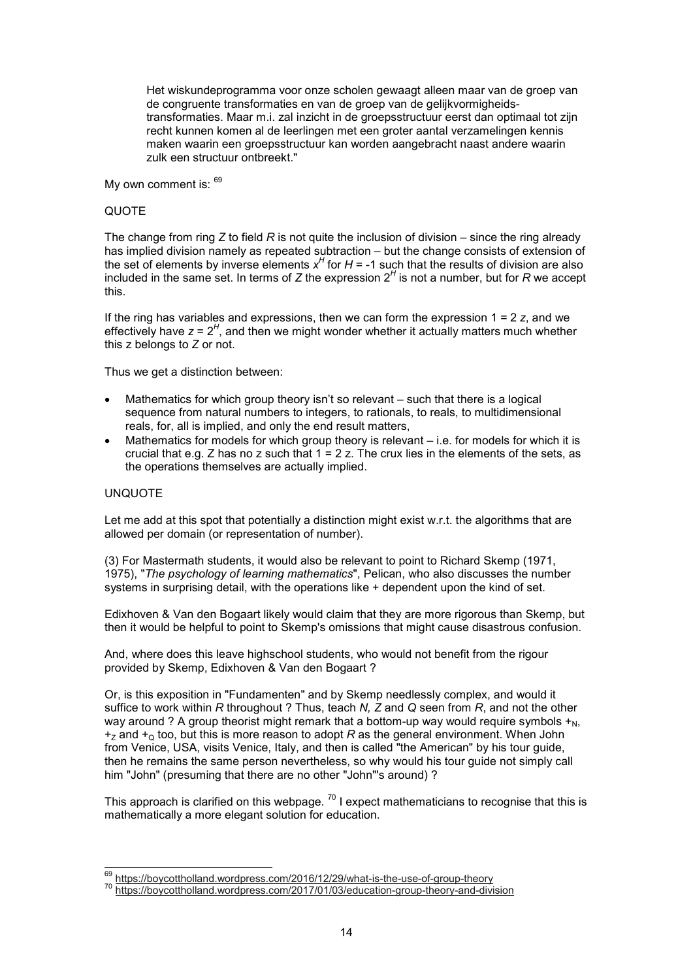Het wiskundeprogramma voor onze scholen gewaagt alleen maar van de groep van de congruente transformaties en van de groep van de gelijkvormigheidstransformaties. Maar m.i. zal inzicht in de groepsstructuur eerst dan optimaal tot zijn recht kunnen komen al de leerlingen met een groter aantal verzamelingen kennis maken waarin een groepsstructuur kan worden aangebracht naast andere waarin zulk een structuur ontbreekt."

My own comment is:  $69$ 

#### QUOTE

The change from ring *Z* to field *R* is not quite the inclusion of division – since the ring already has implied division namely as repeated subtraction – but the change consists of extension of the set of elements by inverse elements  $x^H$  for  $H$  = -1 such that the results of division are also included in the same set. In terms of *Z* the expression 2*<sup>H</sup>* is not a number, but for *R* we accept this.

If the ring has variables and expressions, then we can form the expression 1 = 2 *z*, and we effectively have *z* = 2<sup>H</sup>, and then we might wonder whether it actually matters much whether this z belongs to *Z* or not.

Thus we get a distinction between:

- Mathematics for which group theory isn't so relevant such that there is a logical sequence from natural numbers to integers, to rationals, to reals, to multidimensional reals, for, all is implied, and only the end result matters,
- Mathematics for models for which group theory is relevant  $-$  i.e. for models for which it is crucial that e.g. Z has no z such that  $1 = 2$  z. The crux lies in the elements of the sets, as the operations themselves are actually implied.

#### UNQUOTE

Let me add at this spot that potentially a distinction might exist w.r.t. the algorithms that are allowed per domain (or representation of number).

(3) For Mastermath students, it would also be relevant to point to Richard Skemp (1971, 1975), "*The psychology of learning mathematics*", Pelican, who also discusses the number systems in surprising detail, with the operations like + dependent upon the kind of set.

Edixhoven & Van den Bogaart likely would claim that they are more rigorous than Skemp, but then it would be helpful to point to Skemp's omissions that might cause disastrous confusion.

And, where does this leave highschool students, who would not benefit from the rigour provided by Skemp, Edixhoven & Van den Bogaart ?

Or, is this exposition in "Fundamenten" and by Skemp needlessly complex, and would it suffice to work within *R* throughout ? Thus, teach *N, Z* and *Q* seen from *R*, and not the other way around ? A group theorist might remark that a bottom-up way would require symbols  $+_{N}$ ,  $+_Z$  and  $+_Q$  too, but this is more reason to adopt *R* as the general environment. When John from Venice, USA, visits Venice, Italy, and then is called "the American" by his tour guide, then he remains the same person nevertheless, so why would his tour guide not simply call him "John" (presuming that there are no other "John"'s around) ?

This approach is clarified on this webpage.  $^{70}$  I expect mathematicians to recognise that this is mathematically a more elegant solution for education.

 $\overline{a}$ <sup>69</sup> https://boycottholland.wordpress.com/2016/12/29/what-is-the-use-of-group-theory

<sup>70</sup> https://boycottholland.wordpress.com/2017/01/03/education-group-theory-and-division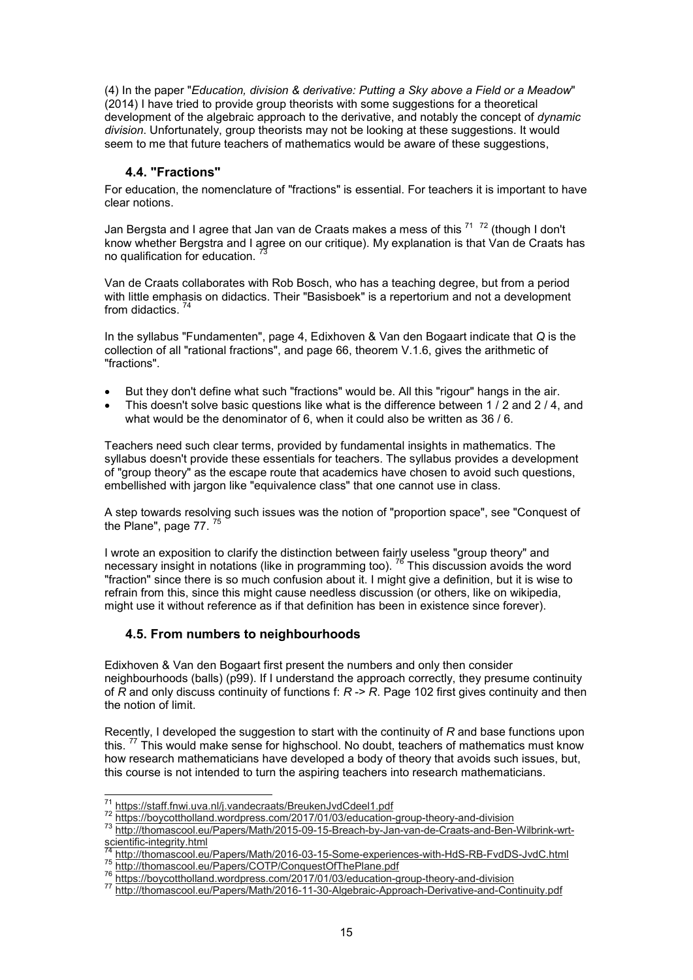(4) In the paper "*Education, division & derivative: Putting a Sky above a Field or a Meadow*" (2014) I have tried to provide group theorists with some suggestions for a theoretical development of the algebraic approach to the derivative, and notably the concept of *dynamic division*. Unfortunately, group theorists may not be looking at these suggestions. It would seem to me that future teachers of mathematics would be aware of these suggestions,

### **4.4. "Fractions"**

For education, the nomenclature of "fractions" is essential. For teachers it is important to have clear notions.

Jan Bergsta and I agree that Jan van de Craats makes a mess of this <sup>71  72</sup> (though I don't know whether Bergstra and I agree on our critique). My explanation is that Van de Craats has no qualification for education.

Van de Craats collaborates with Rob Bosch, who has a teaching degree, but from a period with little emphasis on didactics. Their "Basisboek" is a repertorium and not a development from didactics.

In the syllabus "Fundamenten", page 4, Edixhoven & Van den Bogaart indicate that *Q* is the collection of all "rational fractions", and page 66, theorem V.1.6, gives the arithmetic of "fractions".

- But they don't define what such "fractions" would be. All this "rigour" hangs in the air.
- This doesn't solve basic questions like what is the difference between 1 / 2 and 2 / 4, and what would be the denominator of 6, when it could also be written as 36 / 6.

Teachers need such clear terms, provided by fundamental insights in mathematics. The syllabus doesn't provide these essentials for teachers. The syllabus provides a development of "group theory" as the escape route that academics have chosen to avoid such questions, embellished with jargon like "equivalence class" that one cannot use in class.

A step towards resolving such issues was the notion of "proportion space", see "Conquest of the Plane", page 77.

I wrote an exposition to clarify the distinction between fairly useless "group theory" and necessary insight in notations (like in programming too).  $^{76}$  This discussion avoids the word "fraction" since there is so much confusion about it. I might give a definition, but it is wise to refrain from this, since this might cause needless discussion (or others, like on wikipedia, might use it without reference as if that definition has been in existence since forever).

### **4.5. From numbers to neighbourhoods**

Edixhoven & Van den Bogaart first present the numbers and only then consider neighbourhoods (balls) (p99). If I understand the approach correctly, they presume continuity of *R* and only discuss continuity of functions f: *R* -> *R*. Page 102 first gives continuity and then the notion of limit.

Recently, I developed the suggestion to start with the continuity of *R* and base functions upon this.<sup>77</sup> This would make sense for highschool. No doubt, teachers of mathematics must know how research mathematicians have developed a body of theory that avoids such issues, but, this course is not intended to turn the aspiring teachers into research mathematicians.

 $\overline{a}$ <sup>71</sup> https://staff.fnwi.uva.nl/j.vandecraats/BreukenJvdCdeel1.pdf

<sup>72</sup> https://boycottholland.wordpress.com/2017/01/03/education-group-theory-and-division

<sup>73</sup> http://thomascool.eu/Papers/Math/2015-09-15-Breach-by-Jan-van-de-Craats-and-Ben-Wilbrink-wrtscientific-integrity.html

<sup>74</sup> http://thomascool.eu/Papers/Math/2016-03-15-Some-experiences-with-HdS-RB-FvdDS-JvdC.html

<sup>75</sup> http://thomascool.eu/Papers/COTP/ConquestOfThePlane.pdf

<sup>76</sup> https://boycottholland.wordpress.com/2017/01/03/education-group-theory-and-division

<sup>77</sup> http://thomascool.eu/Papers/Math/2016-11-30-Algebraic-Approach-Derivative-and-Continuity.pdf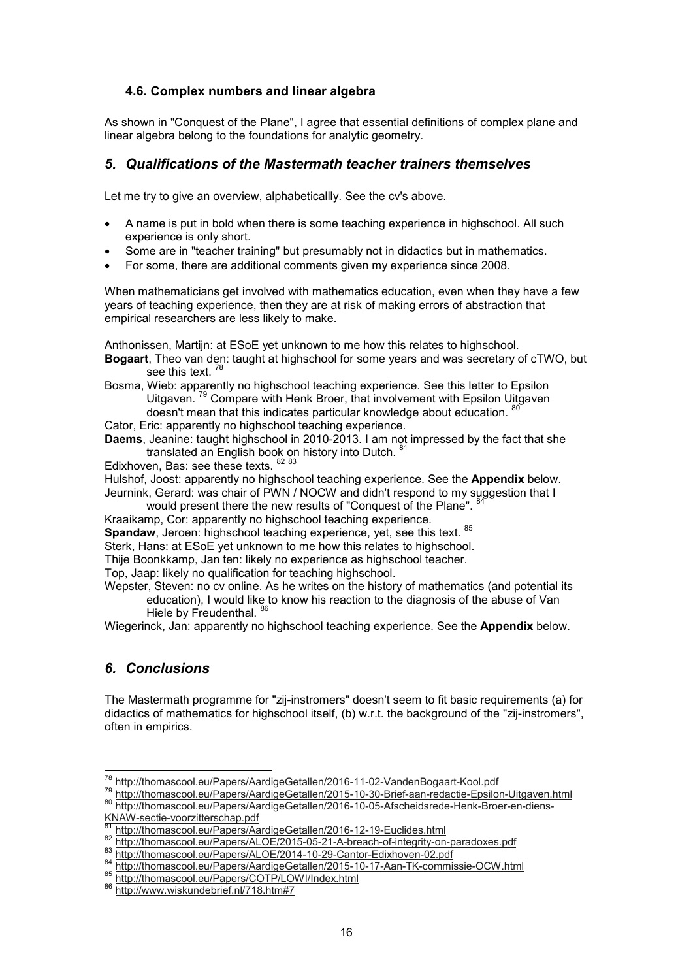#### **4.6. Complex numbers and linear algebra**

As shown in "Conquest of the Plane", I agree that essential definitions of complex plane and linear algebra belong to the foundations for analytic geometry.

# *5. Qualifications of the Mastermath teacher trainers themselves*

Let me try to give an overview, alphabeticallly. See the cv's above.

- A name is put in bold when there is some teaching experience in highschool. All such experience is only short.
- Some are in "teacher training" but presumably not in didactics but in mathematics.
- For some, there are additional comments given my experience since 2008.

When mathematicians get involved with mathematics education, even when they have a few years of teaching experience, then they are at risk of making errors of abstraction that empirical researchers are less likely to make.

Anthonissen, Martijn: at ESoE yet unknown to me how this relates to highschool.

- **Bogaart**, Theo van den: taught at highschool for some years and was secretary of cTWO, but see this text.<sup>78</sup>
- Bosma, Wieb: apparently no highschool teaching experience. See this letter to Epsilon Uitgaven. <sup>79</sup> Compare with Henk Broer, that involvement with Epsilon Uitgaven
- doesn't mean that this indicates particular knowledge about education.  $\frac{8}{3}$
- Cator, Eric: apparently no highschool teaching experience.
- **Daems**, Jeanine: taught highschool in 2010-2013. I am not impressed by the fact that she translated an English book on history into Dutch. <sup>81</sup>

Edixhoven, Bas: see these texts. 82 83

Hulshof, Joost: apparently no highschool teaching experience. See the **Appendix** below.

Jeurnink, Gerard: was chair of PWN / NOCW and didn't respond to my suggestion that I would present there the new results of "Conquest of the Plane".

Kraaikamp, Cor: apparently no highschool teaching experience.

**Spandaw**, Jeroen: highschool teaching experience, yet, see this text. <sup>85</sup>

Sterk, Hans: at ESoE yet unknown to me how this relates to highschool.

Thije Boonkkamp, Jan ten: likely no experience as highschool teacher.

Top, Jaap: likely no qualification for teaching highschool.

Wepster, Steven: no cv online. As he writes on the history of mathematics (and potential its education), I would like to know his reaction to the diagnosis of the abuse of Van Hiele by Freudenthal. 86

Wiegerinck, Jan: apparently no highschool teaching experience. See the **Appendix** below.

### *6. Conclusions*

The Mastermath programme for "zij-instromers" doesn't seem to fit basic requirements (a) for didactics of mathematics for highschool itself, (b) w.r.t. the background of the "zij-instromers", often in empirics.

 $\overline{a}$ <sup>78</sup> http://thomascool.eu/Papers/AardigeGetallen/2016-11-02-VandenBogaart-Kool.pdf

<sup>79</sup> http://thomascool.eu/Papers/AardigeGetallen/2015-10-30-Brief-aan-redactie-Epsilon-Uitgaven.html <sup>80</sup> http://thomascool.eu/Papers/AardigeGetallen/2016-10-05-Afscheidsrede-Henk-Broer-en-diens-KNAW-sectie-voorzitterschap.pdf

http://thomascool.eu/Papers/AardigeGetallen/2016-12-19-Euclides.html

<sup>82</sup> http://thomascool.eu/Papers/ALOE/2015-05-21-A-breach-of-integrity-on-paradoxes.pdf

<sup>83</sup> http://thomascool.eu/Papers/ALOE/2014-10-29-Cantor-Edixhoven-02.pdf

<sup>84</sup> http://thomascool.eu/Papers/AardigeGetallen/2015-10-17-Aan-TK-commissie-OCW.html

<sup>85</sup> http://thomascool.eu/Papers/COTP/LOWI/Index.html

<sup>86</sup> http://www.wiskundebrief.nl/718.htm#7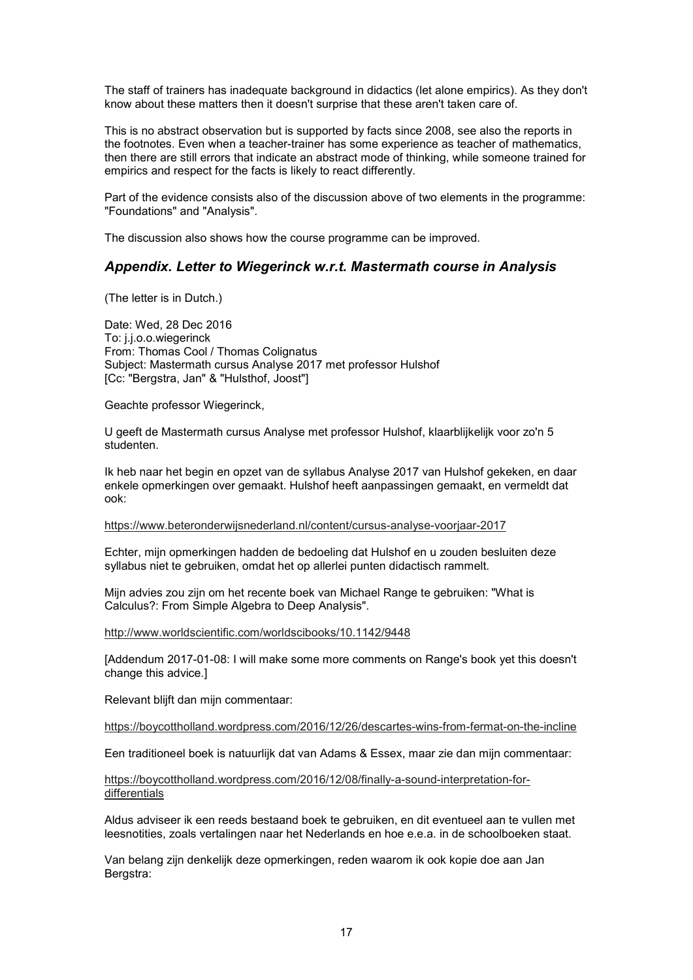The staff of trainers has inadequate background in didactics (let alone empirics). As they don't know about these matters then it doesn't surprise that these aren't taken care of.

This is no abstract observation but is supported by facts since 2008, see also the reports in the footnotes. Even when a teacher-trainer has some experience as teacher of mathematics, then there are still errors that indicate an abstract mode of thinking, while someone trained for empirics and respect for the facts is likely to react differently.

Part of the evidence consists also of the discussion above of two elements in the programme: "Foundations" and "Analysis".

The discussion also shows how the course programme can be improved.

#### *Appendix. Letter to Wiegerinck w.r.t. Mastermath course in Analysis*

(The letter is in Dutch.)

Date: Wed, 28 Dec 2016 To: j.j.o.o.wiegerinck From: Thomas Cool / Thomas Colignatus Subject: Mastermath cursus Analyse 2017 met professor Hulshof [Cc: "Bergstra, Jan" & "Hulsthof, Joost"]

Geachte professor Wiegerinck,

U geeft de Mastermath cursus Analyse met professor Hulshof, klaarblijkelijk voor zo'n 5 studenten.

Ik heb naar het begin en opzet van de syllabus Analyse 2017 van Hulshof gekeken, en daar enkele opmerkingen over gemaakt. Hulshof heeft aanpassingen gemaakt, en vermeldt dat ook:

https://www.beteronderwijsnederland.nl/content/cursus-analyse-voorjaar-2017

Echter, mijn opmerkingen hadden de bedoeling dat Hulshof en u zouden besluiten deze syllabus niet te gebruiken, omdat het op allerlei punten didactisch rammelt.

Mijn advies zou zijn om het recente boek van Michael Range te gebruiken: "What is Calculus?: From Simple Algebra to Deep Analysis".

http://www.worldscientific.com/worldscibooks/10.1142/9448

[Addendum 2017-01-08: I will make some more comments on Range's book yet this doesn't change this advice.]

Relevant blijft dan mijn commentaar:

https://boycottholland.wordpress.com/2016/12/26/descartes-wins-from-fermat-on-the-incline

Een traditioneel boek is natuurlijk dat van Adams & Essex, maar zie dan mijn commentaar:

https://boycottholland.wordpress.com/2016/12/08/finally-a-sound-interpretation-fordifferentials

Aldus adviseer ik een reeds bestaand boek te gebruiken, en dit eventueel aan te vullen met leesnotities, zoals vertalingen naar het Nederlands en hoe e.e.a. in de schoolboeken staat.

Van belang zijn denkelijk deze opmerkingen, reden waarom ik ook kopie doe aan Jan Bergstra: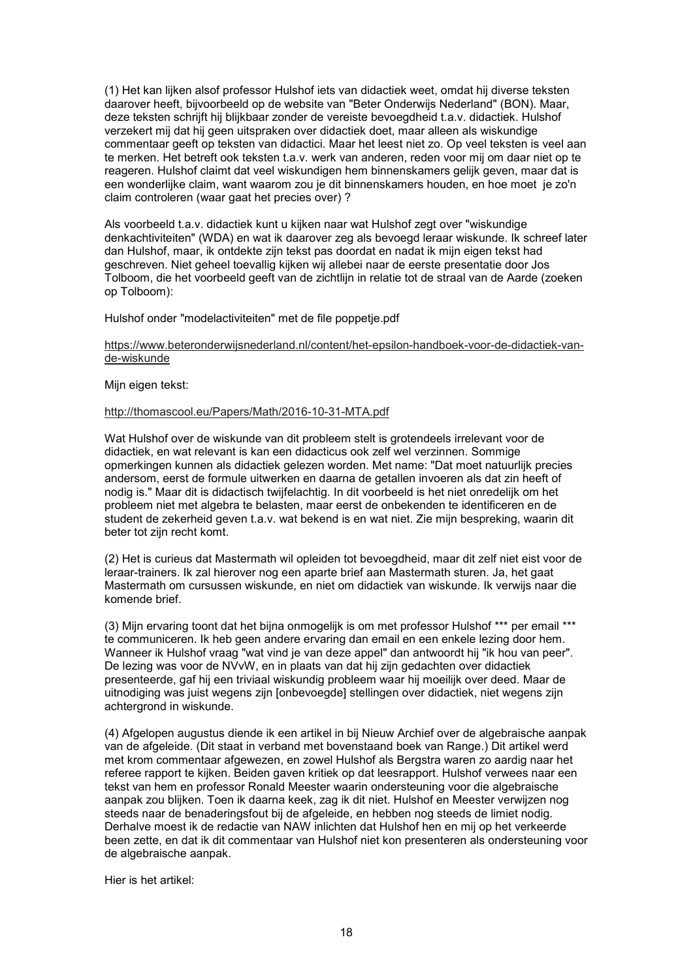(1) Het kan lijken alsof professor Hulshof iets van didactiek weet, omdat hij diverse teksten daarover heeft, bijvoorbeeld op de website van "Beter Onderwijs Nederland" (BON). Maar, deze teksten schrijft hij blijkbaar zonder de vereiste bevoegdheid t.a.v. didactiek. Hulshof verzekert mij dat hij geen uitspraken over didactiek doet, maar alleen als wiskundige commentaar geeft op teksten van didactici. Maar het leest niet zo. Op veel teksten is veel aan te merken. Het betreft ook teksten t.a.v. werk van anderen, reden voor mij om daar niet op te reageren. Hulshof claimt dat veel wiskundigen hem binnenskamers gelijk geven, maar dat is een wonderlijke claim, want waarom zou je dit binnenskamers houden, en hoe moet je zo'n claim controleren (waar gaat het precies over) ?

Als voorbeeld t.a.v. didactiek kunt u kijken naar wat Hulshof zegt over "wiskundige denkachtiviteiten" (WDA) en wat ik daarover zeg als bevoegd leraar wiskunde. Ik schreef later dan Hulshof, maar, ik ontdekte zijn tekst pas doordat en nadat ik mijn eigen tekst had geschreven. Niet geheel toevallig kijken wij allebei naar de eerste presentatie door Jos Tolboom, die het voorbeeld geeft van de zichtlijn in relatie tot de straal van de Aarde (zoeken op Tolboom):

Hulshof onder "modelactiviteiten" met de file poppetje.pdf

#### https://www.beteronderwijsnederland.nl/content/het-epsilon-handboek-voor-de-didactiek-vande-wiskunde

Mijn eigen tekst:

#### http://thomascool.eu/Papers/Math/2016-10-31-MTA.pdf

Wat Hulshof over de wiskunde van dit probleem stelt is grotendeels irrelevant voor de didactiek, en wat relevant is kan een didacticus ook zelf wel verzinnen. Sommige opmerkingen kunnen als didactiek gelezen worden. Met name: "Dat moet natuurlijk precies andersom, eerst de formule uitwerken en daarna de getallen invoeren als dat zin heeft of nodig is." Maar dit is didactisch twijfelachtig. In dit voorbeeld is het niet onredelijk om het probleem niet met algebra te belasten, maar eerst de onbekenden te identificeren en de student de zekerheid geven t.a.v. wat bekend is en wat niet. Zie mijn bespreking, waarin dit beter tot zijn recht komt.

(2) Het is curieus dat Mastermath wil opleiden tot bevoegdheid, maar dit zelf niet eist voor de leraar-trainers. Ik zal hierover nog een aparte brief aan Mastermath sturen. Ja, het gaat Mastermath om cursussen wiskunde, en niet om didactiek van wiskunde. Ik verwijs naar die komende brief.

(3) Mijn ervaring toont dat het bijna onmogelijk is om met professor Hulshof \*\*\* per email \*\*\* te communiceren. Ik heb geen andere ervaring dan email en een enkele lezing door hem. Wanneer ik Hulshof vraag "wat vind je van deze appel" dan antwoordt hij "ik hou van peer". De lezing was voor de NVvW, en in plaats van dat hij zijn gedachten over didactiek presenteerde, gaf hij een triviaal wiskundig probleem waar hij moeilijk over deed. Maar de uitnodiging was juist wegens zijn [onbevoegde] stellingen over didactiek, niet wegens zijn achtergrond in wiskunde.

(4) Afgelopen augustus diende ik een artikel in bij Nieuw Archief over de algebraische aanpak van de afgeleide. (Dit staat in verband met bovenstaand boek van Range.) Dit artikel werd met krom commentaar afgewezen, en zowel Hulshof als Bergstra waren zo aardig naar het referee rapport te kijken. Beiden gaven kritiek op dat leesrapport. Hulshof verwees naar een tekst van hem en professor Ronald Meester waarin ondersteuning voor die algebraische aanpak zou blijken. Toen ik daarna keek, zag ik dit niet. Hulshof en Meester verwijzen nog steeds naar de benaderingsfout bij de afgeleide, en hebben nog steeds de limiet nodig. Derhalve moest ik de redactie van NAW inlichten dat Hulshof hen en mij op het verkeerde been zette, en dat ik dit commentaar van Hulshof niet kon presenteren als ondersteuning voor de algebraische aanpak.

Hier is het artikel: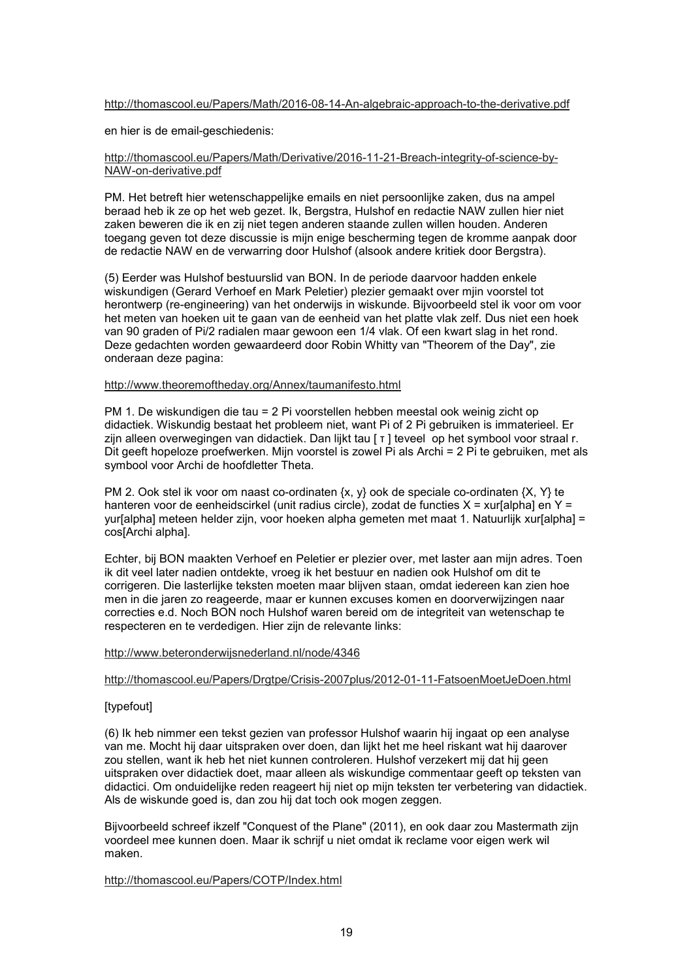#### http://thomascool.eu/Papers/Math/2016-08-14-An-algebraic-approach-to-the-derivative.pdf

en hier is de email-geschiedenis:

#### http://thomascool.eu/Papers/Math/Derivative/2016-11-21-Breach-integrity-of-science-by-NAW-on-derivative.pdf

PM. Het betreft hier wetenschappelijke emails en niet persoonlijke zaken, dus na ampel beraad heb ik ze op het web gezet. Ik, Bergstra, Hulshof en redactie NAW zullen hier niet zaken beweren die ik en zij niet tegen anderen staande zullen willen houden. Anderen toegang geven tot deze discussie is mijn enige bescherming tegen de kromme aanpak door de redactie NAW en de verwarring door Hulshof (alsook andere kritiek door Bergstra).

(5) Eerder was Hulshof bestuurslid van BON. In de periode daarvoor hadden enkele wiskundigen (Gerard Verhoef en Mark Peletier) plezier gemaakt over mjin voorstel tot herontwerp (re-engineering) van het onderwijs in wiskunde. Bijvoorbeeld stel ik voor om voor het meten van hoeken uit te gaan van de eenheid van het platte vlak zelf. Dus niet een hoek van 90 graden of Pi/2 radialen maar gewoon een 1/4 vlak. Of een kwart slag in het rond. Deze gedachten worden gewaardeerd door Robin Whitty van "Theorem of the Day", zie onderaan deze pagina:

#### http://www.theoremoftheday.org/Annex/taumanifesto.html

PM 1. De wiskundigen die tau = 2 Pi voorstellen hebben meestal ook weinig zicht op didactiek. Wiskundig bestaat het probleem niet, want Pi of 2 Pi gebruiken is immaterieel. Er zijn alleen overwegingen van didactiek. Dan lijkt tau [ τ ] teveel op het symbool voor straal r. Dit geeft hopeloze proefwerken. Mijn voorstel is zowel Pi als Archi = 2 Pi te gebruiken, met als symbool voor Archi de hoofdletter Theta.

PM 2. Ook stel ik voor om naast co-ordinaten  $\{x, y\}$  ook de speciale co-ordinaten  $\{X, Y\}$  te hanteren voor de eenheidscirkel (unit radius circle), zodat de functies  $X = x$ ur[alpha] en Y = yur[alpha] meteen helder zijn, voor hoeken alpha gemeten met maat 1. Natuurlijk xur[alpha] = cos[Archi alpha].

Echter, bij BON maakten Verhoef en Peletier er plezier over, met laster aan mijn adres. Toen ik dit veel later nadien ontdekte, vroeg ik het bestuur en nadien ook Hulshof om dit te corrigeren. Die lasterlijke teksten moeten maar blijven staan, omdat iedereen kan zien hoe men in die jaren zo reageerde, maar er kunnen excuses komen en doorverwijzingen naar correcties e.d. Noch BON noch Hulshof waren bereid om de integriteit van wetenschap te respecteren en te verdedigen. Hier zijn de relevante links:

#### http://www.beteronderwijsnederland.nl/node/4346

#### http://thomascool.eu/Papers/Drgtpe/Crisis-2007plus/2012-01-11-FatsoenMoetJeDoen.html

#### [typefout]

(6) Ik heb nimmer een tekst gezien van professor Hulshof waarin hij ingaat op een analyse van me. Mocht hij daar uitspraken over doen, dan lijkt het me heel riskant wat hij daarover zou stellen, want ik heb het niet kunnen controleren. Hulshof verzekert mij dat hij geen uitspraken over didactiek doet, maar alleen als wiskundige commentaar geeft op teksten van didactici. Om onduidelijke reden reageert hij niet op mijn teksten ter verbetering van didactiek. Als de wiskunde goed is, dan zou hij dat toch ook mogen zeggen.

Bijvoorbeeld schreef ikzelf "Conquest of the Plane" (2011), en ook daar zou Mastermath zijn voordeel mee kunnen doen. Maar ik schrijf u niet omdat ik reclame voor eigen werk wil maken.

#### http://thomascool.eu/Papers/COTP/Index.html